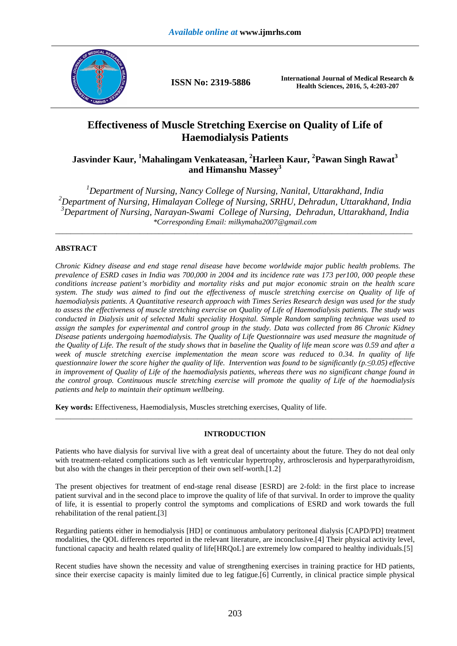

**ISSN No: 2319-5886 International Journal of Medical Research & Health Sciences, 2016, 5, 4:203-207** 

# **Effectiveness of Muscle Stretching Exercise on Quality of Life of Haemodialysis Patients**

# **Jasvinder Kaur, <sup>1</sup>Mahalingam Venkateasan, <sup>2</sup>Harleen Kaur, <sup>2</sup> Pawan Singh Rawat<sup>3</sup> and Himanshu Massey<sup>3</sup>**

*Department of Nursing, Nancy College of Nursing, Nanital, Uttarakhand, India Department of Nursing, Himalayan College of Nursing, SRHU, Dehradun, Uttarakhand, India Department of Nursing, Narayan-Swami College of Nursing, Dehradun, Uttarakhand, India \*Corresponding Email: milkymaha2007@gmail.com* 

\_\_\_\_\_\_\_\_\_\_\_\_\_\_\_\_\_\_\_\_\_\_\_\_\_\_\_\_\_\_\_\_\_\_\_\_\_\_\_\_\_\_\_\_\_\_\_\_\_\_\_\_\_\_\_\_\_\_\_\_\_\_\_\_\_\_\_\_\_\_\_\_\_\_\_\_\_\_\_\_\_\_\_\_\_\_\_\_\_\_\_\_\_

## **ABSTRACT**

*Chronic Kidney disease and end stage renal disease have become worldwide major public health problems. The prevalence of ESRD cases in India was 700,000 in 2004 and its incidence rate was 173 per100, 000 people these conditions increase patient's morbidity and mortality risks and put major economic strain on the health scare system. The study was aimed to find out the effectiveness of muscle stretching exercise on Quality of life of haemodialysis patients. A Quantitative research approach with Times Series Research design was used for the study to assess the effectiveness of muscle stretching exercise on Quality of Life of Haemodialysis patients. The study was conducted in Dialysis unit of selected Multi speciality Hospital. Simple Random sampling technique was used to assign the samples for experimental and control group in the study. Data was collected from 86 Chronic Kidney Disease patients undergoing haemodialysis. The Quality of Life Questionnaire was used measure the magnitude of the Quality of Life. The result of the study shows that in baseline the Quality of life mean score was 0.59 and after a week of muscle stretching exercise implementation the mean score was reduced to 0.34. In quality of life questionnaire lower the score higher the quality of life. Intervention was found to be significantly (p.≤0.05) effective in improvement of Quality of Life of the haemodialysis patients, whereas there was no significant change found in the control group. Continuous muscle stretching exercise will promote the quality of Life of the haemodialysis patients and help to maintain their optimum wellbeing.* 

**Key words:** Effectiveness, Haemodialysis, Muscles stretching exercises, Quality of life.

### **INTRODUCTION**

\_\_\_\_\_\_\_\_\_\_\_\_\_\_\_\_\_\_\_\_\_\_\_\_\_\_\_\_\_\_\_\_\_\_\_\_\_\_\_\_\_\_\_\_\_\_\_\_\_\_\_\_\_\_\_\_\_\_\_\_\_\_\_\_\_\_\_\_\_\_\_\_\_\_\_\_\_\_\_\_\_\_\_\_\_\_\_\_\_\_\_\_\_

Patients who have dialysis for survival live with a great deal of uncertainty about the future. They do not deal only with treatment-related complications such as left ventricular hypertrophy, arthrosclerosis and hyperparathyroidism, but also with the changes in their perception of their own self-worth.[1.2]

The present objectives for treatment of end-stage renal disease [ESRD] are 2-fold: in the first place to increase patient survival and in the second place to improve the quality of life of that survival. In order to improve the quality of life, it is essential to properly control the symptoms and complications of ESRD and work towards the full rehabilitation of the renal patient.[3]

Regarding patients either in hemodialysis [HD] or continuous ambulatory peritoneal dialysis [CAPD/PD] treatment modalities, the QOL differences reported in the relevant literature, are inconclusive.[4] Their physical activity level, functional capacity and health related quality of life[HRQoL] are extremely low compared to healthy individuals.[5]

Recent studies have shown the necessity and value of strengthening exercises in training practice for HD patients, since their exercise capacity is mainly limited due to leg fatigue.[6] Currently, in clinical practice simple physical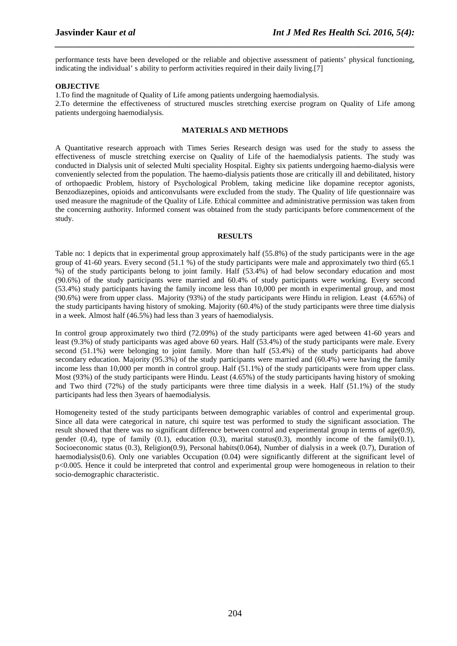performance tests have been developed or the reliable and objective assessment of patients' physical functioning, indicating the individual' s ability to perform activities required in their daily living.[7]

*\_\_\_\_\_\_\_\_\_\_\_\_\_\_\_\_\_\_\_\_\_\_\_\_\_\_\_\_\_\_\_\_\_\_\_\_\_\_\_\_\_\_\_\_\_\_\_\_\_\_\_\_\_\_\_\_\_\_\_\_\_\_\_\_\_\_\_\_\_\_\_\_\_\_\_\_\_\_*

#### **OBJECTIVE**

1.To find the magnitude of Quality of Life among patients undergoing haemodialysis.

2.To determine the effectiveness of structured muscles stretching exercise program on Quality of Life among patients undergoing haemodialysis.

#### **MATERIALS AND METHODS**

A Quantitative research approach with Times Series Research design was used for the study to assess the effectiveness of muscle stretching exercise on Quality of Life of the haemodialysis patients. The study was conducted in Dialysis unit of selected Multi speciality Hospital. Eighty six patients undergoing haemo-dialysis were conveniently selected from the population. The haemo-dialysis patients those are critically ill and debilitated, history of orthopaedic Problem, history of Psychological Problem, taking medicine like dopamine receptor agonists, Benzodiazepines, opioids and anticonvulsants were excluded from the study. The Quality of life questionnaire was used measure the magnitude of the Quality of Life. Ethical committee and administrative permission was taken from the concerning authority. Informed consent was obtained from the study participants before commencement of the study.

#### **RESULTS**

Table no: 1 depicts that in experimental group approximately half (55.8%) of the study participants were in the age group of 41-60 years. Every second (51.1 %) of the study participants were male and approximately two third (65.1 %) of the study participants belong to joint family. Half (53.4%) of had below secondary education and most (90.6%) of the study participants were married and 60.4% of study participants were working. Every second (53.4%) study participants having the family income less than 10,000 per month in experimental group, and most (90.6%) were from upper class. Majority (93%) of the study participants were Hindu in religion. Least (4.65%) of the study participants having history of smoking. Majority (60.4%) of the study participants were three time dialysis in a week. Almost half (46.5%) had less than 3 years of haemodialysis.

In control group approximately two third (72.09%) of the study participants were aged between 41-60 years and least (9.3%) of study participants was aged above 60 years. Half (53.4%) of the study participants were male. Every second (51.1%) were belonging to joint family. More than half (53.4%) of the study participants had above secondary education. Majority (95.3%) of the study participants were married and (60.4%) were having the family income less than 10,000 per month in control group. Half (51.1%) of the study participants were from upper class. Most (93%) of the study participants were Hindu. Least (4.65%) of the study participants having history of smoking and Two third (72%) of the study participants were three time dialysis in a week. Half (51.1%) of the study participants had less then 3years of haemodialysis.

Homogeneity tested of the study participants between demographic variables of control and experimental group. Since all data were categorical in nature, chi squire test was performed to study the significant association. The result showed that there was no significant difference between control and experimental group in terms of age(0.9), gender  $(0.4)$ , type of family  $(0.1)$ , education  $(0.3)$ , marital status $(0.3)$ , monthly income of the family $(0.1)$ , Socioeconomic status (0.3), Religion(0.9), Personal habits(0.064), Number of dialysis in a week (0.7), Duration of haemodialysis(0.6). Only one variables Occupation (0.04) were significantly different at the significant level of p<0.005. Hence it could be interpreted that control and experimental group were homogeneous in relation to their socio-demographic characteristic.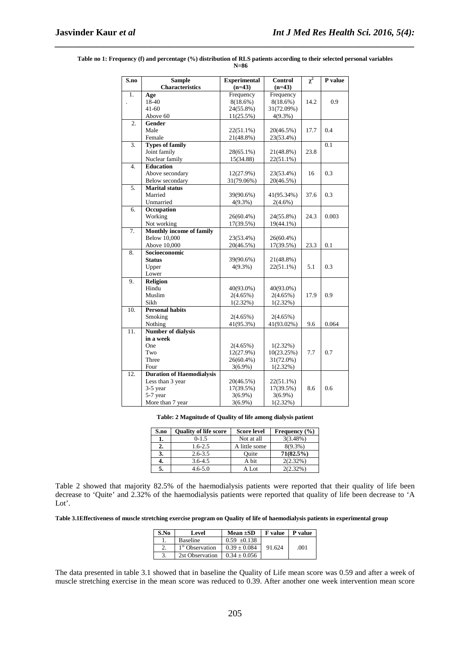| $\overline{\mathbf{S}.\mathbf{n}}$ o | <b>Sample</b>                    | <b>Experimental</b> | Control      | $\chi^2$ | P value          |
|--------------------------------------|----------------------------------|---------------------|--------------|----------|------------------|
|                                      | <b>Characteristics</b>           | $(n=43)$            | $(n=43)$     |          |                  |
| 1.                                   | Age                              | Frequency           | Frequency    |          |                  |
|                                      | 18-40                            | $8(18.6\%)$         | $8(18.6\%)$  | 14.2     | 0.9              |
|                                      | $41 - 60$                        | 24(55.8%)           | 31(72.09%)   |          |                  |
|                                      | Above 60                         | 11(25.5%)           | $4(9.3\%)$   |          |                  |
| $\overline{2}$ .                     | Gender                           |                     |              |          |                  |
|                                      | Male                             | $22(51.1\%)$        | 20(46.5%)    | 17.7     | 0.4              |
|                                      | Female                           | 21(48.8%)           | 23(53.4%)    |          |                  |
| 3.                                   | <b>Types of family</b>           |                     |              |          | $\overline{0.1}$ |
|                                      | Joint family                     | 28(65.1%)           | 21(48.8%)    | 23.8     |                  |
|                                      | Nuclear family                   | 15(34.88)           | 22(51.1%)    |          |                  |
| 4.                                   | <b>Education</b>                 |                     |              |          |                  |
|                                      | Above secondary                  | 12(27.9%)           | 23(53.4%)    | 16       | 0.3              |
|                                      | Below secondary                  | 31(79.06%)          | 20(46.5%)    |          |                  |
| 5.                                   | <b>Marital</b> status            |                     |              |          |                  |
|                                      | Married                          | 39(90.6%)           | 41(95.34%)   | 37.6     | 0.3              |
|                                      | Unmarried                        | $4(9.3\%)$          | $2(4.6\%)$   |          |                  |
| 6.                                   | Occupation                       |                     |              |          |                  |
|                                      | Working                          | 26(60.4%)           | 24(55.8%)    | 24.3     | 0.003            |
|                                      | Not working                      | 17(39.5%)           | 19(44.1%)    |          |                  |
| 7.                                   | <b>Monthly income of family</b>  |                     |              |          |                  |
|                                      | <b>Below 10,000</b>              | 23(53.4%)           | 26(60.4%)    |          |                  |
|                                      | Above 10,000                     | 20(46.5%)           | 17(39.5%)    | 23.3     | 0.1              |
| 8.                                   | Socioeconomic                    |                     |              |          |                  |
|                                      | <b>Status</b>                    | 39(90.6%)           | 21(48.8%)    |          |                  |
|                                      | Upper                            | $4(9.3\%)$          | 22(51.1%)    | 5.1      | 0.3              |
|                                      | Lower                            |                     |              |          |                  |
| 9.                                   | <b>Religion</b>                  |                     |              |          |                  |
|                                      | Hindu                            | 40(93.0%)           | 40(93.0%)    | 17.9     | 0.9              |
|                                      | Muslim                           | $2(4.65\%)$         | 2(4.65%)     |          |                  |
| 10.                                  | Sikh<br><b>Personal habits</b>   | 1(2.32%)            | 1(2.32%)     |          |                  |
|                                      | Smoking                          | 2(4.65%)            | 2(4.65%)     |          |                  |
|                                      | Nothing                          | 41(95.3%)           | 41(93.02%)   | 9.6      | 0.064            |
| 11.                                  | <b>Number of dialysis</b>        |                     |              |          |                  |
|                                      | in a week                        |                     |              |          |                  |
|                                      | One                              | $2(4.65\%)$         | $1(2.32\%)$  |          |                  |
|                                      | Two                              | 12(27.9%)           | 10(23.25%)   | 7.7      | 0.7              |
|                                      | Three                            | 26(60.4%)           | 31(72.0%)    |          |                  |
|                                      | Four                             | $3(6.9\%)$          | 1(2.32%)     |          |                  |
| 12.                                  | <b>Duration of Haemodialysis</b> |                     |              |          |                  |
|                                      | Less than 3 year                 | 20(46.5%)           | $22(51.1\%)$ |          |                  |
|                                      | 3-5 year                         | 17(39.5%)           | 17(39.5%)    | 8.6      | 0.6              |
|                                      | 5-7 year                         | $3(6.9\%)$          | $3(6.9\%)$   |          |                  |
|                                      | More than 7 year                 | $3(6.9\%)$          | 1(2.32%)     |          |                  |

**Table no 1: Frequency (f) and percentage (%) distribution of RLS patients according to their selected personal variables N=86** 

*\_\_\_\_\_\_\_\_\_\_\_\_\_\_\_\_\_\_\_\_\_\_\_\_\_\_\_\_\_\_\_\_\_\_\_\_\_\_\_\_\_\_\_\_\_\_\_\_\_\_\_\_\_\_\_\_\_\_\_\_\_\_\_\_\_\_\_\_\_\_\_\_\_\_\_\_\_\_*

**Table: 2 Magnitude of Quality of life among dialysis patient** 

| S.no | <b>Ouality of life score</b> | <b>Score level</b> | Frequency $(\% )$ |
|------|------------------------------|--------------------|-------------------|
| 1.   | $0-1.5$                      | Not at all         | 3(3.48%)          |
| 2.   | $1.6 - 2.5$                  | A little some      | $8(9.3\%)$        |
| 3.   | $2.6 - 3.5$                  | Ouite              | $71(82.5\%)$      |
| 4.   | $3.6 - 4.5$                  | A bit              | $2(2.32\%)$       |
| 5.   | $4.6 - 5.0$                  | A Lot              | 2(2.32%)          |

Table 2 showed that majority 82.5% of the haemodialysis patients were reported that their quality of life been decrease to 'Quite' and 2.32% of the haemodialysis patients were reported that quality of life been decrease to 'A Lot'.

**Table 3.1Effectiveness of muscle stretching exercise program on Quality of life of haemodialysis patients in experimental group** 

| S.No | Level                       | Mean $\pm SD$    | <b>F</b> value | <b>P</b> value |
|------|-----------------------------|------------------|----------------|----------------|
|      | Baseline                    | $0.59 \pm 0.138$ |                |                |
|      | 1 <sup>st</sup> Observation | $0.39 \pm 0.084$ | 91.624         | .001           |
|      | 2st Observation             | $0.34 + 0.056$   |                |                |

The data presented in table 3.1 showed that in baseline the Quality of Life mean score was 0.59 and after a week of muscle stretching exercise in the mean score was reduced to 0.39. After another one week intervention mean score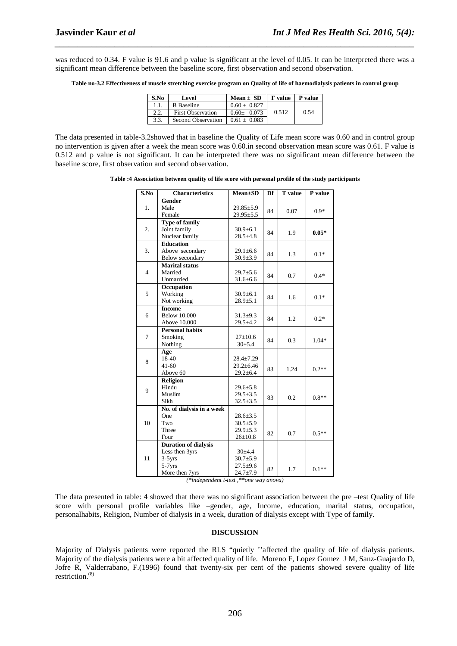was reduced to 0.34. F value is 91.6 and p value is significant at the level of 0.05. It can be interpreted there was a significant mean difference between the baseline score, first observation and second observation.

*\_\_\_\_\_\_\_\_\_\_\_\_\_\_\_\_\_\_\_\_\_\_\_\_\_\_\_\_\_\_\_\_\_\_\_\_\_\_\_\_\_\_\_\_\_\_\_\_\_\_\_\_\_\_\_\_\_\_\_\_\_\_\_\_\_\_\_\_\_\_\_\_\_\_\_\_\_\_*

**Table no-3.2 Effectiveness of muscle stretching exercise program on Quality of life of haemodialysis patients in control group** 

| S.No | Level                    | $Mean \pm SD$  | F value | P value |
|------|--------------------------|----------------|---------|---------|
| 1.1  | <b>B</b> Baseline        | $0.60 + 0.827$ |         |         |
| 2.2  | <b>First Observation</b> | $0.60 + 0.073$ | 0.512   | 0.54    |
| 3.3. | Second Observation       | $0.61 + 0.083$ |         |         |

The data presented in table-3.2showed that in baseline the Quality of Life mean score was 0.60 and in control group no intervention is given after a week the mean score was 0.60.in second observation mean score was 0.61. F value is 0.512 and p value is not significant. It can be interpreted there was no significant mean difference between the baseline score, first observation and second observation.

**Table :4 Association between quality of life score with personal profile of the study participants** 

| S.No           | Characteristics             | <b>Mean±SD</b>  | Df | <b>T</b> value | P value |
|----------------|-----------------------------|-----------------|----|----------------|---------|
|                | Gender                      |                 |    |                |         |
| 1.             | Male                        | $29.85 \pm 5.9$ | 84 | 0.07           | $0.9*$  |
|                | Female                      | 29.95±5.5       |    |                |         |
|                | <b>Type of family</b>       |                 |    |                |         |
| 2.             | Joint family                | $30.9 \pm 6.1$  | 84 | 1.9            | $0.05*$ |
|                | Nuclear family              | $28.5 \pm 4.8$  |    |                |         |
|                | <b>Education</b>            |                 |    |                |         |
| 3.             | Above secondary             | $29.1 \pm 6.6$  | 84 |                | $0.1*$  |
|                | Below secondary             | $30.9 \pm 3.9$  |    | 1.3            |         |
|                | <b>Marital</b> status       |                 |    |                |         |
| $\overline{4}$ | Married                     | $29.7 \pm 5.6$  |    | 0.7            | $0.4*$  |
|                | Unmarried                   | $31.6 \pm 6.6$  | 84 |                |         |
|                | Occupation                  |                 |    |                |         |
| 5              | Working                     | $30.9 \pm 6.1$  |    |                | $0.1*$  |
|                | Not working                 | $28.9{\pm}5.1$  | 84 | 1.6            |         |
|                | <b>Income</b>               |                 |    |                |         |
| 6              | <b>Below 10,000</b>         | $31.3 + 9.3$    |    |                | $0.2*$  |
|                | Above 10.000                | $29.5 \pm 4.2$  | 84 | 1.2            |         |
|                | <b>Personal habits</b>      |                 |    |                |         |
| 7              | Smoking                     | $27 \pm 10.6$   | 84 | 0.3            | $1.04*$ |
|                | Nothing                     | 30±5.4          |    |                |         |
|                | Age                         |                 |    |                |         |
| 8              | 18-40                       | $28.4 \pm 7.29$ |    |                |         |
|                | $41 - 60$                   | $29.2 \pm 6.46$ | 83 | 1.24           | $0.2**$ |
|                | Above 60                    | $29.2 \pm 6.4$  |    |                |         |
|                | Religion                    |                 |    |                |         |
| 9              | Hindu                       | $29.6 \pm 5.8$  |    |                |         |
|                | Muslim                      | $29.5 \pm 3.5$  | 83 | 0.2            | $0.8**$ |
|                | Sikh                        | $32.5 \pm 3.5$  |    |                |         |
|                | No. of dialysis in a week   |                 |    |                |         |
|                | One                         | $28.6 \pm 3.5$  |    |                |         |
| 10             | Two                         | $30.5 \pm 5.9$  |    |                |         |
|                | Three                       | $29.9 \pm 5.3$  | 82 | 0.7            | $0.5**$ |
|                | Four                        | $26 \pm 10.8$   |    |                |         |
|                | <b>Duration of dialysis</b> |                 |    |                |         |
|                | Less then 3yrs              | 30±4.4          |    |                |         |
| 11             | $3-5yrs$                    | $30.7 \pm 5.9$  |    |                |         |
|                | $5-7yrs$                    | $27.5 \pm 9.6$  | 82 | 1.7            | $0.1**$ |
|                | More then 7yrs              | $24.7 + 7.9$    |    |                |         |

*(\*independent t-test ,\*\*one way anova)* 

The data presented in table: 4 showed that there was no significant association between the pre –test Quality of life score with personal profile variables like –gender, age, Income, education, marital status, occupation, personalhabits, Religion, Number of dialysis in a week, duration of dialysis except with Type of family.

#### **DISCUSSION**

Majority of Dialysis patients were reported the RLS "quietly ''affected the quality of life of dialysis patients. Majority of the dialysis patients were a bit affected quality of life. Moreno F, Lopez Gomez J M, Sanz-Guajardo D, Jofre R, Valderrabano, F.(1996) found that twenty-six per cent of the patients showed severe quality of life restriction.(8)